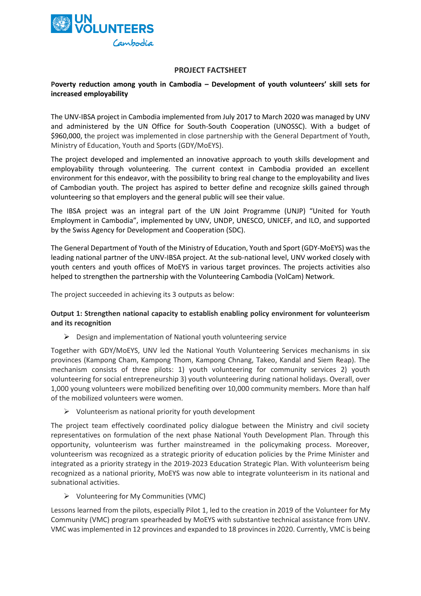

#### **PROJECT FACTSHEET**

#### **Poverty reduction among youth in Cambodia – Development of youth volunteers' skill sets for increased employability**

The UNV-IBSA project in Cambodia implemented from July 2017 to March 2020 was managed by UNV and administered by the UN Office for South-South Cooperation (UNOSSC). With a budget of \$960,000, the project was implemented in close partnership with the General Department of Youth, Ministry of Education, Youth and Sports (GDY/MoEYS).

The project developed and implemented an innovative approach to youth skills development and employability through volunteering. The current context in Cambodia provided an excellent environment for this endeavor, with the possibility to bring real change to the employability and lives of Cambodian youth. The project has aspired to better define and recognize skills gained through volunteering so that employers and the general public will see their value.

The IBSA project was an integral part of the UN Joint Programme (UNJP) "United for Youth Employment in Cambodia", implemented by UNV, UNDP, UNESCO, UNICEF, and ILO, and supported by the Swiss Agency for Development and Cooperation (SDC).

The General Department of Youth of the Ministry of Education, Youth and Sport (GDY-MoEYS) was the leading national partner of the UNV-IBSA project. At the sub-national level, UNV worked closely with youth centers and youth offices of MoEYS in various target provinces. The projects activities also helped to strengthen the partnership with the Volunteering Cambodia (VolCam) Network.

The project succeeded in achieving its 3 outputs as below:

#### **Output 1: Strengthen national capacity to establish enabling policy environment for volunteerism and its recognition**

 $\triangleright$  Design and implementation of National youth volunteering service

Together with GDY/MoEYS, UNV led the National Youth Volunteering Services mechanisms in six provinces (Kampong Cham, Kampong Thom, Kampong Chnang, Takeo, Kandal and Siem Reap). The mechanism consists of three pilots: 1) youth volunteering for community services 2) youth volunteering for social entrepreneurship 3) youth volunteering during national holidays. Overall, over 1,000 young volunteers were mobilized benefiting over 10,000 community members. More than half of the mobilized volunteers were women.

 $\triangleright$  Volunteerism as national priority for youth development

The project team effectively coordinated policy dialogue between the Ministry and civil society representatives on formulation of the next phase National Youth Development Plan. Through this opportunity, volunteerism was further mainstreamed in the policymaking process. Moreover, volunteerism was recognized as a strategic priority of education policies by the Prime Minister and integrated as a priority strategy in the 2019-2023 Education Strategic Plan. With volunteerism being recognized as a national priority, MoEYS was now able to integrate volunteerism in its national and subnational activities.

➢ Volunteering for My Communities (VMC)

Lessons learned from the pilots, especially Pilot 1, led to the creation in 2019 of the Volunteer for My Community (VMC) program spearheaded by MoEYS with substantive technical assistance from UNV. VMC was implemented in 12 provinces and expanded to 18 provinces in 2020. Currently, VMC is being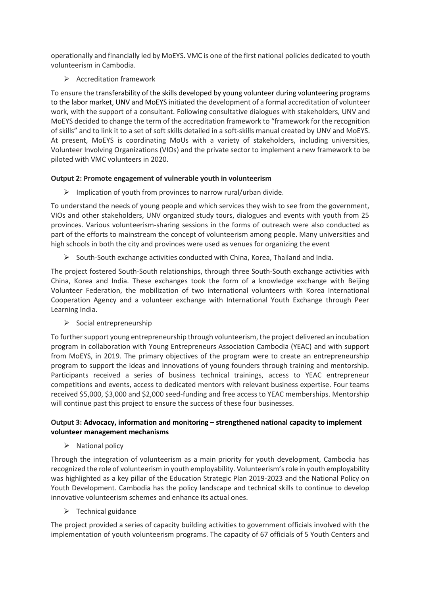operationally and financially led by MoEYS. VMC is one of the first national policies dedicated to youth volunteerism in Cambodia.

➢ Accreditation framework

To ensure the transferability of the skills developed by young volunteer during volunteering programs to the labor market, UNV and MoEYS initiated the development of a formal accreditation of volunteer work, with the support of a consultant. Following consultative dialogues with stakeholders, UNV and MoEYS decided to change the term of the accreditation framework to "framework for the recognition of skills" and to link it to a set of soft skills detailed in a soft-skills manual created by UNV and MoEYS. At present, MoEYS is coordinating MoUs with a variety of stakeholders, including universities, Volunteer Involving Organizations (VIOs) and the private sector to implement a new framework to be piloted with VMC volunteers in 2020.

# **Output 2: Promote engagement of vulnerable youth in volunteerism**

 $\triangleright$  Implication of youth from provinces to narrow rural/urban divide.

To understand the needs of young people and which services they wish to see from the government, VIOs and other stakeholders, UNV organized study tours, dialogues and events with youth from 25 provinces. Various volunteerism-sharing sessions in the forms of outreach were also conducted as part of the efforts to mainstream the concept of volunteerism among people. Many universities and high schools in both the city and provinces were used as venues for organizing the event

 $\triangleright$  South-South exchange activities conducted with China, Korea, Thailand and India.

The project fostered South-South relationships, through three South-South exchange activities with China, Korea and India. These exchanges took the form of a knowledge exchange with Beijing Volunteer Federation, the mobilization of two international volunteers with Korea International Cooperation Agency and a volunteer exchange with International Youth Exchange through Peer Learning India.

 $\triangleright$  Social entrepreneurship

To further support young entrepreneurship through volunteerism, the project delivered an incubation program in collaboration with Young Entrepreneurs Association Cambodia (YEAC) and with support from MoEYS, in 2019. The primary objectives of the program were to create an entrepreneurship program to support the ideas and innovations of young founders through training and mentorship. Participants received a series of business technical trainings, access to YEAC entrepreneur competitions and events, access to dedicated mentors with relevant business expertise. Four teams received \$5,000, \$3,000 and \$2,000 seed-funding and free access to YEAC memberships. Mentorship will continue past this project to ensure the success of these four businesses.

# **Output 3: Advocacy, information and monitoring – strengthened national capacity to implement volunteer management mechanisms**

 $\triangleright$  National policy

Through the integration of volunteerism as a main priority for youth development, Cambodia has recognized the role of volunteerism in youth employability. Volunteerism's role in youth employability was highlighted as a key pillar of the Education Strategic Plan 2019-2023 and the National Policy on Youth Development. Cambodia has the policy landscape and technical skills to continue to develop innovative volunteerism schemes and enhance its actual ones.

➢ Technical guidance

The project provided a series of capacity building activities to government officials involved with the implementation of youth volunteerism programs. The capacity of 67 officials of 5 Youth Centers and